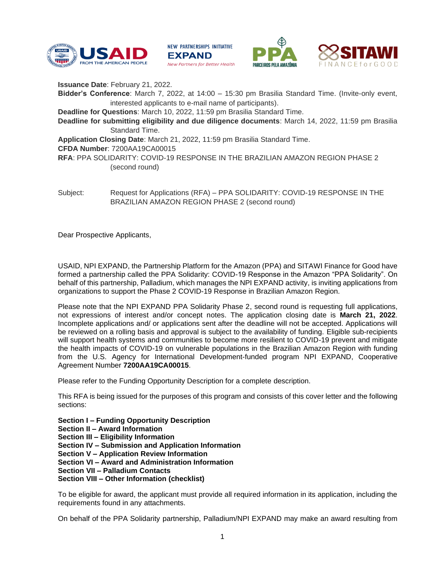







**Issuance Date**: February 21, 2022. **Bidder's Conference**: March 7, 2022, at 14:00 – 15:30 pm Brasilia Standard Time. (Invite-only event, interested applicants to e-mail name of participants). **Deadline for Questions**: March 10, 2022, 11:59 pm Brasilia Standard Time. **Deadline for submitting eligibility and due diligence documents**: March 14, 2022, 11:59 pm Brasilia Standard Time. **Application Closing Date**: March 21, 2022, 11:59 pm Brasilia Standard Time. **CFDA Number**: 7200AA19CA00015 **RFA**: PPA SOLIDARITY: COVID-19 RESPONSE IN THE BRAZILIAN AMAZON REGION PHASE 2 (second round)

Subject: Request for Applications (RFA) – PPA SOLIDARITY: COVID-19 RESPONSE IN THE BRAZILIAN AMAZON REGION PHASE 2 (second round)

Dear Prospective Applicants,

USAID, NPI EXPAND, the Partnership Platform for the Amazon (PPA) and SITAWI Finance for Good have formed a partnership called the PPA Solidarity: COVID-19 Response in the Amazon "PPA Solidarity". On behalf of this partnership, Palladium, which manages the NPI EXPAND activity, is inviting applications from organizations to support the Phase 2 COVID-19 Response in Brazilian Amazon Region.

Please note that the NPI EXPAND PPA Solidarity Phase 2, second round is requesting full applications, not expressions of interest and/or concept notes. The application closing date is **March 21, 2022**. Incomplete applications and/ or applications sent after the deadline will not be accepted. Applications will be reviewed on a rolling basis and approval is subject to the availability of funding. Eligible sub-recipients will support health systems and communities to become more resilient to COVID-19 prevent and mitigate the health impacts of COVID-19 on vulnerable populations in the Brazilian Amazon Region with funding from the U.S. Agency for International Development-funded program NPI EXPAND, Cooperative Agreement Number **7200AA19CA00015**.

Please refer to the Funding Opportunity Description for a complete description.

This RFA is being issued for the purposes of this program and consists of this cover letter and the following sections:

**Section I – Funding Opportunity Description**

- **Section II – Award Information**
- **Section III – Eligibility Information**
- **Section IV – Submission and Application Information**
- **Section V – Application Review Information**
- **Section VI – Award and Administration Information**
- **Section VII – Palladium Contacts**
- **Section VIII – Other Information (checklist)**

To be eligible for award, the applicant must provide all required information in its application, including the requirements found in any attachments.

On behalf of the PPA Solidarity partnership, Palladium/NPI EXPAND may make an award resulting from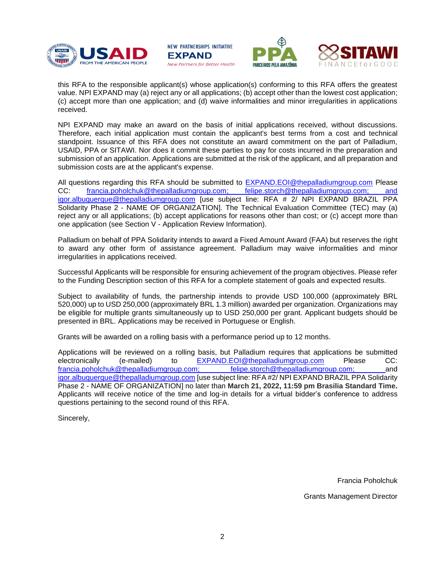







this RFA to the responsible applicant(s) whose application(s) conforming to this RFA offers the greatest value. NPI EXPAND may (a) reject any or all applications; (b) accept other than the lowest cost application; (c) accept more than one application; and (d) waive informalities and minor irregularities in applications received.

NPI EXPAND may make an award on the basis of initial applications received, without discussions. Therefore, each initial application must contain the applicant's best terms from a cost and technical standpoint. Issuance of this RFA does not constitute an award commitment on the part of Palladium, USAID, PPA or SITAWI. Nor does it commit these parties to pay for costs incurred in the preparation and submission of an application. Applications are submitted at the risk of the applicant, and all preparation and submission costs are at the applicant's expense.

All questions regarding this RFA should be submitted to EXPAND.EOI@thepalladiumgroup.com Please CC: [francia.poholchuk@thepalladiumgroup.com;](mailto:francia.poholchuk@thepalladiumgroup.com) felipe.storch@thepalladiumgroup.com; and igor.albuquerque@thepalladiumgroup.com [use subject line: RFA # 2/ NPI EXPAND BRAZIL PPA Solidarity Phase 2 - NAME OF ORGANIZATION]. The Technical Evaluation Committee (TEC) may (a) reject any or all applications; (b) accept applications for reasons other than cost; or (c) accept more than one application (see Section V - Application Review Information).

Palladium on behalf of PPA Solidarity intends to award a Fixed Amount Award (FAA) but reserves the right to award any other form of assistance agreement. Palladium may waive informalities and minor irregularities in applications received.

Successful Applicants will be responsible for ensuring achievement of the program objectives. Please refer to the Funding Description section of this RFA for a complete statement of goals and expected results.

Subject to availability of funds, the partnership intends to provide USD 100,000 (approximately BRL 520,000) up to USD 250,000 (approximately BRL 1.3 million) awarded per organization. Organizations may be eligible for multiple grants simultaneously up to USD 250,000 per grant. Applicant budgets should be presented in BRL. Applications may be received in Portuguese or English.

Grants will be awarded on a rolling basis with a performance period up to 12 months.

Applications will be reviewed on a rolling basis, but Palladium requires that applications be submitted electronically (e-mailed) to [EXPAND.EOI@thepalladiumgroup.com](mailto:EXPAND.EOI@thepalladiumgroup.com) Please CC: [francia.poholchuk@thepalladiumgroup.com;](mailto:francia.poholchuk@thepalladiumgroup.com) [felipe.storch@thepalladiumgroup.com;](mailto:felipe.storch@thepalladiumgroup.com) and igor.albuquerque@thepalladiumgroup.com [use subject line: RFA #2/ NPI EXPAND BRAZIL PPA Solidarity Phase 2 - NAME OF ORGANIZATION] no later than **March 21, 2022, 11:59 pm Brasilia Standard Time.** Applicants will receive notice of the time and log-in details for a virtual bidder's conference to address questions pertaining to the second round of this RFA.

Sincerely,

Francia Poholchuk

Grants Management Director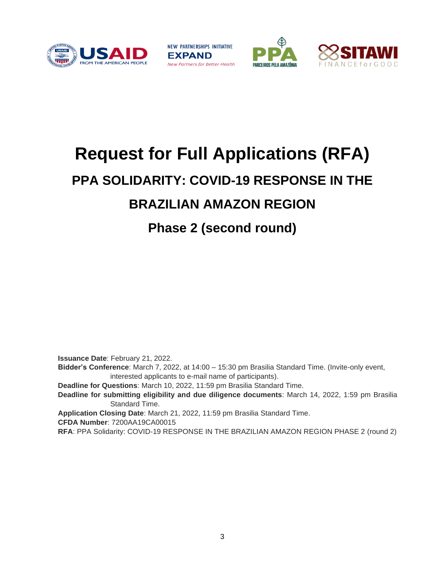







# **Request for Full Applications (RFA)**

## **PPA SOLIDARITY: COVID-19 RESPONSE IN THE**

## **BRAZILIAN AMAZON REGION**

## **Phase 2 (second round)**

**Issuance Date**: February 21, 2022.

**Bidder's Conference**: March 7, 2022, at 14:00 – 15:30 pm Brasilia Standard Time. (Invite-only event, interested applicants to e-mail name of participants).

**Deadline for Questions**: March 10, 2022, 11:59 pm Brasilia Standard Time.

**Deadline for submitting eligibility and due diligence documents**: March 14, 2022, 1:59 pm Brasilia Standard Time.

**Application Closing Date**: March 21, 2022, 11:59 pm Brasilia Standard Time.

**CFDA Number**: 7200AA19CA00015

**RFA**: PPA Solidarity: COVID-19 RESPONSE IN THE BRAZILIAN AMAZON REGION PHASE 2 (round 2)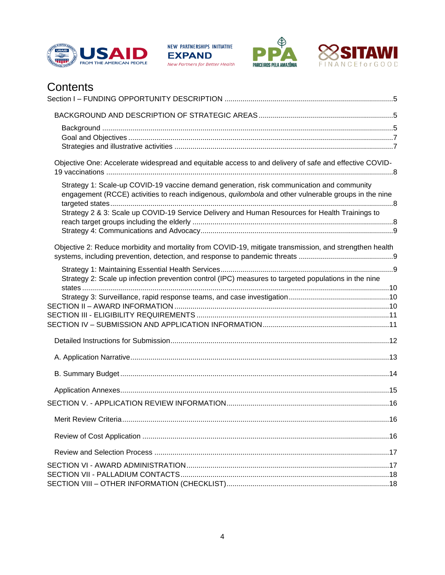







## **Contents**

| Objective One: Accelerate widespread and equitable access to and delivery of safe and effective COVID-                                                                                                                                                                                              |
|-----------------------------------------------------------------------------------------------------------------------------------------------------------------------------------------------------------------------------------------------------------------------------------------------------|
| Strategy 1: Scale-up COVID-19 vaccine demand generation, risk communication and community<br>engagement (RCCE) activities to reach indigenous, quilombola and other vulnerable groups in the nine<br>Strategy 2 & 3: Scale up COVID-19 Service Delivery and Human Resources for Health Trainings to |
| Objective 2: Reduce morbidity and mortality from COVID-19, mitigate transmission, and strengthen health                                                                                                                                                                                             |
| Strategy 2: Scale up infection prevention control (IPC) measures to targeted populations in the nine                                                                                                                                                                                                |
|                                                                                                                                                                                                                                                                                                     |
|                                                                                                                                                                                                                                                                                                     |
|                                                                                                                                                                                                                                                                                                     |
|                                                                                                                                                                                                                                                                                                     |
|                                                                                                                                                                                                                                                                                                     |
|                                                                                                                                                                                                                                                                                                     |
|                                                                                                                                                                                                                                                                                                     |
|                                                                                                                                                                                                                                                                                                     |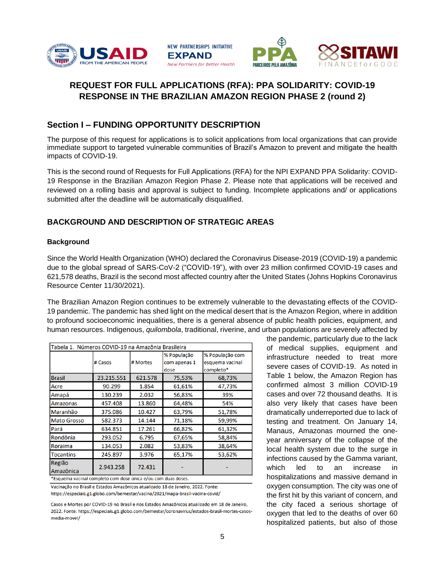





## **REQUEST FOR FULL APPLICATIONS (RFA): PPA SOLIDARITY: COVID-19 RESPONSE IN THE BRAZILIAN AMAZON REGION PHASE 2 (round 2)**

## <span id="page-4-0"></span>**Section I – FUNDING OPPORTUNITY DESCRIPTION**

The purpose of this request for applications is to solicit applications from local organizations that can provide immediate support to targeted vulnerable communities of Brazil's Amazon to prevent and mitigate the health impacts of COVID-19.

This is the second round of Requests for Full Applications (RFA) for the NPI EXPAND PPA Solidarity: COVID-19 Response in the Brazilian Amazon Region Phase 2. Please note that applications will be received and reviewed on a rolling basis and approval is subject to funding. Incomplete applications and/ or applications submitted after the deadline will be automatically disqualified.

## <span id="page-4-1"></span>**BACKGROUND AND DESCRIPTION OF STRATEGIC AREAS**

## <span id="page-4-2"></span>**Background**

Since the World Health Organization (WHO) declared the Coronavirus Disease-2019 (COVID-19) a pandemic due to the global spread of SARS-CoV-2 ("COVID-19"), with over 23 million confirmed COVID-19 cases and 621,578 deaths, Brazil is the second most affected country after the United States (Johns Hopkins Coronavirus Resource Center 11/30/2021).

The Brazilian Amazon Region continues to be extremely vulnerable to the devastating effects of the COVID-19 pandemic. The pandemic has shed light on the medical desert that is the Amazon Region, where in addition to profound socioeconomic inequalities, there is a general absence of public health policies, equipment, and human resources. Indigenous, *quilombola*, traditional, riverine, and urban populations are severely affected by

| Tabela 1. Números COVID-19 na Amazônia Brasileira |            |          |                                     |                                                 |
|---------------------------------------------------|------------|----------|-------------------------------------|-------------------------------------------------|
|                                                   | # Casos    | # Mortes | % População<br>com apenas 1<br>dose | % População com<br>esquema vacinal<br>completo* |
| <b>Brasil</b>                                     | 23.215.551 | 621.578  | 75,53%                              | 68,73%                                          |
| Acre                                              | 90.299     | 1.854    | 61,61%                              | 47,73%                                          |
| Amapá                                             | 130.239    | 2.032    | 56,83%                              | 39%                                             |
| <b>Amazonas</b>                                   | 457.408    | 13.860   | 64,48%                              | 54%                                             |
| Maranhão                                          | 375.086    | 10.427   | 63,79%                              | 51,78%                                          |
| <b>Mato Grosso</b>                                | 582.373    | 14.144   | 71,18%                              | 59,99%                                          |
| Pará                                              | 634.851    | 17.261   | 66,82%                              | 61,32%                                          |
| Rondônia                                          | 293.052    | 6.795    | 67,65%                              | 58,84%                                          |
| Roraima                                           | 134.053    | 2.082    | 53,83%                              | 38,64%                                          |
| <b>Tocantins</b>                                  | 245.897    | 3.976    | 65,17%                              | 53,62%                                          |
| Região<br>Amazônica                               | 2.943.258  | 72.431   |                                     |                                                 |

Vacinação no Brasil e Estados Amazônicos atualizado 18 de Janeiro, 2022, Fonte:

https://especiais.g1.globo.com/bemestar/vacina/2021/mapa-brasil-vacina-covid/

Casos e Mortes por COVID-19 no Brasil e nos Estados Amazônicos atualizado em 18 de Janeiro, 2022. Fonte: https://especiais.g1.globo.com/bemestar/coronavirus/estados-brasil-mortes-casosmedia-movel/

the pandemic, particularly due to the lack of medical supplies, equipment and infrastructure needed to treat more severe cases of COVID-19. As noted in Table 1 below, the Amazon Region has confirmed almost 3 million COVID-19 cases and over 72 thousand deaths. It is also very likely that cases have been dramatically underreported due to lack of testing and treatment. On January 14, Manaus, Amazonas mourned the oneyear anniversary of the collapse of the local health system due to the surge in infections caused by the Gamma variant, which led to an increase in hospitalizations and massive demand in oxygen consumption. The city was one of the first hit by this variant of concern, and the city faced a serious shortage of oxygen that led to the deaths of over 60 hospitalized patients, but also of those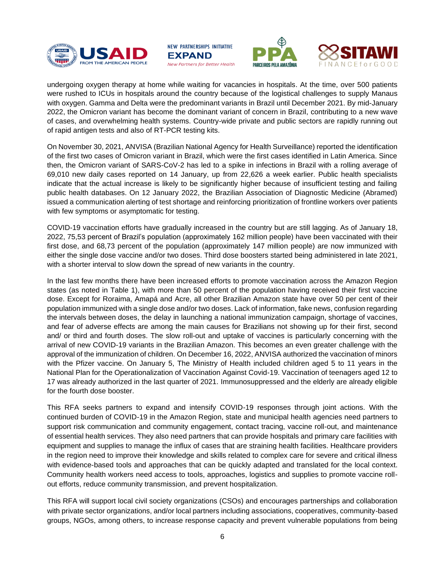







undergoing oxygen therapy at home while waiting for vacancies in hospitals. At the time, over 500 patients were rushed to ICUs in hospitals around the country because of the logistical challenges to supply Manaus with oxygen. Gamma and Delta were the predominant variants in Brazil until December 2021. By mid-January 2022, the Omicron variant has become the dominant variant of concern in Brazil, contributing to a new wave of cases, and overwhelming health systems. Country-wide private and public sectors are rapidly running out of rapid antigen tests and also of RT-PCR testing kits.

On November 30, 2021, ANVISA (Brazilian National Agency for Health Surveillance) reported the identification of the first two cases of Omicron variant in Brazil, which were the first cases identified in Latin America. Since then, the Omicron variant of SARS-CoV-2 has led to a spike in infections in Brazil with a rolling average of 69,010 new daily cases reported on 14 January, up from 22,626 a week earlier. Public health specialists indicate that the actual increase is likely to be significantly higher because of insufficient testing and failing public health databases. On 12 January 2022, the Brazilian Association of Diagnostic Medicine (Abramed) issued a communication alerting of test shortage and reinforcing prioritization of frontline workers over patients with few symptoms or asymptomatic for testing.

COVID-19 vaccination efforts have gradually increased in the country but are still lagging. As of January 18, 2022, 75,53 percent of Brazil's population (approximately 162 million people) have been vaccinated with their first dose, and 68,73 percent of the population (approximately 147 million people) are now immunized with either the single dose vaccine and/or two doses. Third dose boosters started being administered in late 2021, with a shorter interval to slow down the spread of new variants in the country.

In the last few months there have been increased efforts to promote vaccination across the Amazon Region states (as noted in Table 1), with more than 50 percent of the population having received their first vaccine dose. Except for Roraima, Amapá and Acre, all other Brazilian Amazon state have over 50 per cent of their population immunized with a single dose and/or two doses. Lack of information, fake news, confusion regarding the intervals between doses, the delay in launching a national immunization campaign, shortage of vaccines, and fear of adverse effects are among the main causes for Brazilians not showing up for their first, second and/ or third and fourth doses. The slow roll-out and uptake of vaccines is particularly concerning with the arrival of new COVID-19 variants in the Brazilian Amazon. This becomes an even greater challenge with the approval of the immunization of children. On December 16, 2022, ANVISA authorized the vaccination of minors with the Pfizer vaccine. On January 5, The Ministry of Health included children aged 5 to 11 years in the National Plan for the Operationalization of Vaccination Against Covid-19. Vaccination of teenagers aged 12 to 17 was already authorized in the last quarter of 2021. Immunosuppressed and the elderly are already eligible for the fourth dose booster.

This RFA seeks partners to expand and intensify COVID-19 responses through joint actions. With the continued burden of COVID-19 in the Amazon Region, state and municipal health agencies need partners to support risk communication and community engagement, contact tracing, vaccine roll-out, and maintenance of essential health services. They also need partners that can provide hospitals and primary care facilities with equipment and supplies to manage the influx of cases that are straining health facilities. Healthcare providers in the region need to improve their knowledge and skills related to complex care for severe and critical illness with evidence-based tools and approaches that can be quickly adapted and translated for the local context. Community health workers need access to tools, approaches, logistics and supplies to promote vaccine rollout efforts, reduce community transmission, and prevent hospitalization.

This RFA will support local civil society organizations (CSOs) and encourages partnerships and collaboration with private sector organizations, and/or local partners including associations, cooperatives, community-based groups, NGOs, among others, to increase response capacity and prevent vulnerable populations from being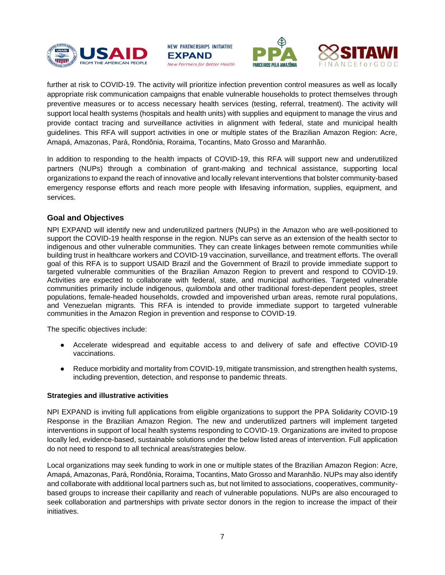







further at risk to COVID-19. The activity will prioritize infection prevention control measures as well as locally appropriate risk communication campaigns that enable vulnerable households to protect themselves through preventive measures or to access necessary health services (testing, referral, treatment). The activity will support local health systems (hospitals and health units) with supplies and equipment to manage the virus and provide contact tracing and surveillance activities in alignment with federal, state and municipal health guidelines. This RFA will support activities in one or multiple states of the Brazilian Amazon Region: Acre, Amapá, Amazonas, Pará, Rondônia, Roraima, Tocantins, Mato Grosso and Maranhão.

In addition to responding to the health impacts of COVID-19, this RFA will support new and underutilized partners (NUPs) through a combination of grant-making and technical assistance, supporting local organizations to expand the reach of innovative and locally relevant interventions that bolster community-based emergency response efforts and reach more people with lifesaving information, supplies, equipment, and services.

## <span id="page-6-0"></span>**Goal and Objectives**

NPI EXPAND will identify new and underutilized partners (NUPs) in the Amazon who are well-positioned to support the COVID-19 health response in the region. NUPs can serve as an extension of the health sector to indigenous and other vulnerable communities. They can create linkages between remote communities while building trust in healthcare workers and COVID-19 vaccination, surveillance, and treatment efforts. The overall goal of this RFA is to support USAID Brazil and the Government of Brazil to provide immediate support to targeted vulnerable communities of the Brazilian Amazon Region to prevent and respond to COVID-19. Activities are expected to collaborate with federal, state, and municipal authorities. Targeted vulnerable communities primarily include indigenous, *quilombola* and other traditional forest-dependent peoples, street populations, female-headed households, crowded and impoverished urban areas, remote rural populations, and Venezuelan migrants. This RFA is intended to provide immediate support to targeted vulnerable communities in the Amazon Region in prevention and response to COVID-19.

The specific objectives include:

- Accelerate widespread and equitable access to and delivery of safe and effective COVID-19 vaccinations.
- Reduce morbidity and mortality from COVID-19, mitigate transmission, and strengthen health systems, including prevention, detection, and response to pandemic threats.

#### <span id="page-6-1"></span>**Strategies and illustrative activities**

NPI EXPAND is inviting full applications from eligible organizations to support the PPA Solidarity COVID-19 Response in the Brazilian Amazon Region. The new and underutilized partners will implement targeted interventions in support of local health systems responding to COVID-19. Organizations are invited to propose locally led, evidence-based, sustainable solutions under the below listed areas of intervention. Full application do not need to respond to all technical areas/strategies below.

Local organizations may seek funding to work in one or multiple states of the Brazilian Amazon Region: Acre, Amapá, Amazonas, Pará, Rondônia, Roraima, Tocantins, Mato Grosso and Maranhão. NUPs may also identify and collaborate with additional local partners such as, but not limited to associations, cooperatives, communitybased groups to increase their capillarity and reach of vulnerable populations. NUPs are also encouraged to seek collaboration and partnerships with private sector donors in the region to increase the impact of their initiatives.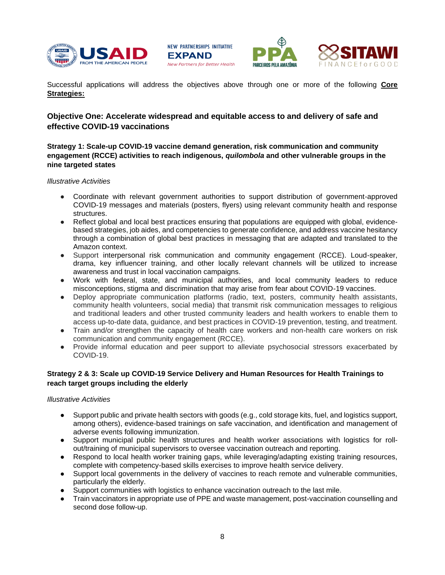







Successful applications will address the objectives above through one or more of the following **Core Strategies:**

## <span id="page-7-0"></span>**Objective One: Accelerate widespread and equitable access to and delivery of safe and effective COVID-19 vaccinations**

<span id="page-7-1"></span>**Strategy 1: Scale-up COVID-19 vaccine demand generation, risk communication and community engagement (RCCE) activities to reach indigenous,** *quilombola* **and other vulnerable groups in the nine targeted states**

#### *Illustrative Activities*

- Coordinate with relevant government authorities to support distribution of government-approved COVID-19 messages and materials (posters, flyers) using relevant community health and response structures.
- Reflect global and local best practices ensuring that populations are equipped with global, evidencebased strategies, job aides, and competencies to generate confidence, and address vaccine hesitancy through a combination of global best practices in messaging that are adapted and translated to the Amazon context.
- Support interpersonal risk communication and community engagement (RCCE). Loud-speaker, drama, key influencer training, and other locally relevant channels will be utilized to increase awareness and trust in local vaccination campaigns.
- Work with federal, state, and municipal authorities, and local community leaders to reduce misconceptions, stigma and discrimination that may arise from fear about COVID-19 vaccines.
- Deploy appropriate communication platforms (radio, text, posters, community health assistants, community health volunteers, social media) that transmit risk communication messages to religious and traditional leaders and other trusted community leaders and health workers to enable them to access up-to-date data, guidance, and best practices in COVID-19 prevention, testing, and treatment.
- Train and/or strengthen the capacity of health care workers and non-health care workers on risk communication and community engagement (RCCE).
- Provide informal education and peer support to alleviate psychosocial stressors exacerbated by COVID-19.

## <span id="page-7-2"></span>**Strategy 2 & 3: Scale up COVID-19 Service Delivery and Human Resources for Health Trainings to reach target groups including the elderly**

#### *Illustrative Activities*

- Support public and private health sectors with goods (e.g., cold storage kits, fuel, and logistics support, among others), evidence-based trainings on safe vaccination, and identification and management of adverse events following immunization.
- Support municipal public health structures and health worker associations with logistics for rollout/training of municipal supervisors to oversee vaccination outreach and reporting.
- Respond to local health worker training gaps, while leveraging/adapting existing training resources, complete with competency-based skills exercises to improve health service delivery.
- Support local governments in the delivery of vaccines to reach remote and vulnerable communities, particularly the elderly.
- Support communities with logistics to enhance vaccination outreach to the last mile.
- Train vaccinators in appropriate use of PPE and waste management, post-vaccination counselling and second dose follow-up.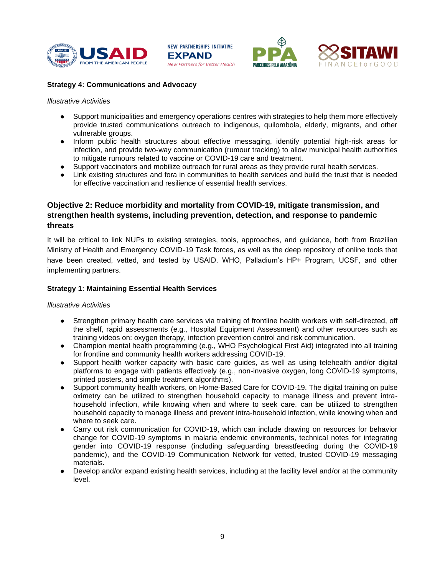







#### <span id="page-8-0"></span>**Strategy 4: Communications and Advocacy**

#### *Illustrative Activities*

- Support municipalities and emergency operations centres with strategies to help them more effectively provide trusted communications outreach to indigenous, quilombola, elderly, migrants, and other vulnerable groups.
- Inform public health structures about effective messaging, identify potential high-risk areas for infection, and provide two-way communication (rumour tracking) to allow municipal health authorities to mitigate rumours related to vaccine or COVID-19 care and treatment.
- Support vaccinators and mobilize outreach for rural areas as they provide rural health services.
- Link existing structures and fora in communities to health services and build the trust that is needed for effective vaccination and resilience of essential health services.

## <span id="page-8-1"></span>**Objective 2: Reduce morbidity and mortality from COVID-19, mitigate transmission, and strengthen health systems, including prevention, detection, and response to pandemic threats**

It will be critical to link NUPs to existing strategies, tools, approaches, and guidance, both from Brazilian Ministry of Health and Emergency COVID-19 Task forces, as well as the deep repository of online tools that have been created, vetted, and tested by USAID, WHO, Palladium's HP+ Program, UCSF, and other implementing partners.

#### <span id="page-8-2"></span>**Strategy 1: Maintaining Essential Health Services**

#### *Illustrative Activities*

- Strengthen primary health care services via training of frontline health workers with self-directed, off the shelf, rapid assessments (e.g., Hospital Equipment Assessment) and other resources such as training videos on: [oxygen therapy,](https://www.youtube.com/watch?v=0gPcis98gNM) [infection prevention control](https://www.youtube.com/watch?v=49aBLh2eGGY) and [risk communication.](https://www.youtube.com/watch?v=qhp5hUV6ixU)
- Champion mental health programming (e.g., WHO Psychological First Aid) integrated into all training for frontline and community health workers addressing COVID-19.
- Support health worker capacity with basic care guides, as well as using telehealth and/or digital platforms to engage with patients effectively (e.g., non-invasive oxygen, long COVID-19 symptoms, printed posters, and simple treatment algorithms).
- Support community health workers, on Home-Based Care for COVID-19. The digital training on pulse oximetry can be utilized to strengthen household capacity to manage illness and prevent intrahousehold infection, while knowing when and where to seek care. can be utilized to strengthen household capacity to manage illness and prevent intra-household infection, while knowing when and where to seek care.
- Carry out risk communication for COVID-19, which can include drawing on resources for behavior change for COVID-19 symptoms in malaria endemic environments, technical notes for integrating gender into COVID-19 response (including safeguarding breastfeeding during the COVID-19 pandemic), and the COVID-19 Communication Network for vetted, trusted COVID-19 messaging materials.
- Develop and/or expand existing health services, including at the facility level and/or at the community level.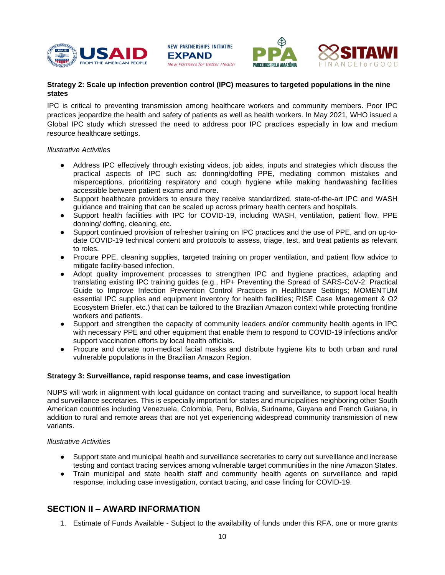







## <span id="page-9-0"></span>**Strategy 2: Scale up infection prevention control (IPC) measures to targeted populations in the nine states**

IPC is critical to preventing transmission among healthcare workers and community members. Poor IPC practices jeopardize the health and safety of patients as well as health workers. In May 2021, WHO issued a Global IPC study which stressed the need to address poor IPC practices especially in low and medium resource healthcare settings.

#### *Illustrative Activities*

- Address IPC effectively through existing videos, job aides, inputs and strategies which discuss the practical aspects of IPC such as: donning/doffing PPE, mediating common mistakes and misperceptions, prioritizing respiratory and cough hygiene while making handwashing facilities accessible between patient exams and more.
- Support healthcare providers to ensure they receive standardized, state-of-the-art IPC and WASH guidance and training that can be scaled up across primary health centers and hospitals.
- Support health facilities with IPC for COVID-19, including WASH, ventilation, patient flow, PPE donning/ doffing, cleaning, etc.
- Support continued provision of refresher training on IPC practices and the use of PPE, and on up-todate COVID-19 technical content and protocols to assess, triage, test, and treat patients as relevant to roles.
- Procure PPE, cleaning supplies, targeted training on proper ventilation, and patient flow advice to mitigate facility-based infection.
- Adopt quality improvement processes to strengthen IPC and hygiene practices, adapting and translating existing IPC training guides (e.g., HP+ Preventing the Spread of SARS-CoV-2: Practical Guide to Improve Infection Prevention Control Practices in Healthcare Settings; MOMENTUM essential IPC supplies and equipment inventory for health facilities; RISE Case Management & O2 Ecosystem Briefer, etc.) that can be tailored to the Brazilian Amazon context while protecting frontline workers and patients.
- Support and strengthen the capacity of community leaders and/or community health agents in IPC with necessary PPE and other equipment that enable them to respond to COVID-19 infections and/or support vaccination efforts by local health officials.
- Procure and donate non-medical facial masks and distribute hygiene kits to both urban and rural vulnerable populations in the Brazilian Amazon Region.

## <span id="page-9-1"></span>**Strategy 3: Surveillance, rapid response teams, and case investigation**

NUPS will work in alignment with local guidance on contact tracing and surveillance, to support local health and surveillance secretaries. This is especially important for states and municipalities neighboring other South American countries including Venezuela, Colombia, Peru, Bolivia, Suriname, Guyana and French Guiana, in addition to rural and remote areas that are not yet experiencing widespread community transmission of new variants.

#### *Illustrative Activities*

- Support state and municipal health and surveillance secretaries to carry out surveillance and increase testing and contact tracing services among vulnerable target communities in the nine Amazon States.
- Train municipal and state health staff and community health agents on surveillance and rapid response, including case investigation, contact tracing, and case finding for COVID-19.

## <span id="page-9-2"></span>**SECTION II – AWARD INFORMATION**

1. Estimate of Funds Available - Subject to the availability of funds under this RFA, one or more grants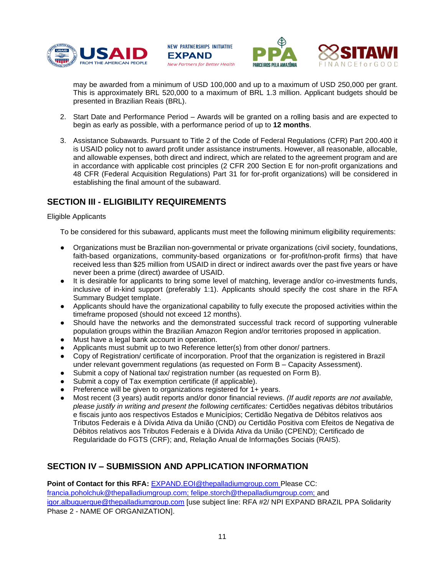







may be awarded from a minimum of USD 100,000 and up to a maximum of USD 250,000 per grant. This is approximately BRL 520,000 to a maximum of BRL 1.3 million. Applicant budgets should be presented in Brazilian Reais (BRL).

- 2. Start Date and Performance Period Awards will be granted on a rolling basis and are expected to begin as early as possible, with a performance period of up to **12 months**.
- 3. Assistance Subawards. Pursuant to Title 2 of the Code of Federal Regulations (CFR) Part 200.400 it is USAID policy not to award profit under assistance instruments. However, all reasonable, allocable, and allowable expenses, both direct and indirect, which are related to the agreement program and are in accordance with applicable cost principles (2 CFR 200 Section E for non-profit organizations and 48 CFR (Federal Acquisition Regulations) Part 31 for for-profit organizations) will be considered in establishing the final amount of the subaward.

## <span id="page-10-0"></span>**SECTION III - ELIGIBILITY REQUIREMENTS**

## Eligible Applicants

To be considered for this subaward, applicants must meet the following minimum eligibility requirements:

- Organizations must be Brazilian non-governmental or private organizations (civil society, foundations, faith-based organizations, community-based organizations or for-profit/non-profit firms) that have received less than \$25 million from USAID in direct or indirect awards over the past five years or have never been a prime (direct) awardee of USAID.
- It is desirable for applicants to bring some level of matching, leverage and/or co-investments funds, inclusive of in-kind support (preferably 1:1). Applicants should specify the cost share in the RFA Summary Budget template.
- Applicants should have the organizational capability to fully execute the proposed activities within the timeframe proposed (should not exceed 12 months).
- Should have the networks and the demonstrated successful track record of supporting vulnerable population groups within the Brazilian Amazon Region and/or territories proposed in application.
- Must have a legal bank account in operation.
- Applicants must submit up to two Reference letter(s) from other donor/ partners.
- Copy of Registration/ certificate of incorporation. Proof that the organization is registered in Brazil under relevant government regulations (as requested on Form B – Capacity Assessment).
- Submit a copy of National tax/ registration number (as requested on Form B).
- Submit a copy of Tax exemption certificate (if applicable).
- Preference will be given to organizations registered for 1+ years.
- Most recent (3 years) audit reports and/or donor financial reviews. *(If audit reports are not available, please justify in writing and present the following certificates:* Certidões negativas débitos tributários e fiscais junto aos respectivos Estados e Municípios; Certidão Negativa de Débitos relativos aos Tributos Federais e à Dívida Ativa da União (CND) *ou* Certidão Positiva com Efeitos de Negativa de Débitos relativos aos Tributos Federais e à Dívida Ativa da União (CPEND); Certificado de Regularidade do FGTS (CRF); and, Relação Anual de Informações Sociais (RAIS).

## <span id="page-10-1"></span>**SECTION IV – SUBMISSION AND APPLICATION INFORMATION**

**Point of Contact for this RFA:** [EXPAND.EOI@thepalladiumgroup.com](mailto:EXPAND.EOI@thepalladiumgroup.com) Please CC: [francia.poholchuk@thepalladiumgroup.com;](mailto:francia.poholchuk@thepalladiumgroup.com) felipe.storch@thepalladiumgroup.com; and igor.albuquerque@thepalladiumgroup.com [use subject line: RFA #2/ NPI EXPAND BRAZIL PPA Solidarity Phase 2 - NAME OF ORGANIZATION].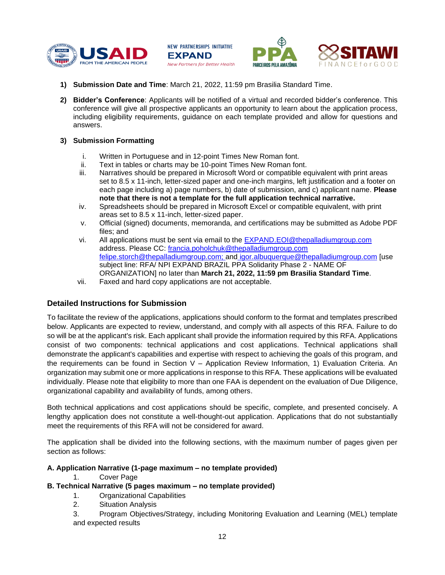







- **1) Submission Date and Time**: March 21, 2022, 11:59 pm Brasilia Standard Time.
- **2) Bidder's Conference**: Applicants will be notified of a virtual and recorded bidder's conference. This conference will give all prospective applicants an opportunity to learn about the application process, including eligibility requirements, guidance on each template provided and allow for questions and answers.

## **3) Submission Formatting**

- i. Written in Portuguese and in 12-point Times New Roman font.
- ii. Text in tables or charts may be 10-point Times New Roman font.
- iii. Narratives should be prepared in Microsoft Word or compatible equivalent with print areas set to 8.5 x 11-inch, letter-sized paper and one-inch margins, left justification and a footer on each page including a) page numbers, b) date of submission, and c) applicant name. **Please note that there is not a template for the full application technical narrative.**
- iv. Spreadsheets should be prepared in Microsoft Excel or compatible equivalent, with print areas set to 8.5 x 11-inch, letter-sized paper.
- v. Official (signed) documents, memoranda, and certifications may be submitted as Adobe PDF files; and
- vi. All applications must be sent via email to the  $EXPAND.EOI@thepalladiumgroup.com$ address. Please CC: [francia.poholchuk@thepalladiumgroup.com](mailto:francia.poholchuk@thepalladiumgroup.com) felipe.storch@thepalladiumgroup.com; and igor.albuquerque@thepalladiumgroup.com [use subject line: RFA/ NPI EXPAND BRAZIL PPA Solidarity Phase 2 - NAME OF ORGANIZATION] no later than **March 21, 2022, 11:59 pm Brasilia Standard Time**.
- vii. Faxed and hard copy applications are not acceptable.

## <span id="page-11-0"></span>**Detailed Instructions for Submission**

To facilitate the review of the applications, applications should conform to the format and templates prescribed below. Applicants are expected to review, understand, and comply with all aspects of this RFA. Failure to do so will be at the applicant's risk. Each applicant shall provide the information required by this RFA. Applications consist of two components: technical applications and cost applications. Technical applications shall demonstrate the applicant's capabilities and expertise with respect to achieving the goals of this program, and the requirements can be found in Section V – Application Review Information, 1) Evaluation Criteria. An organization may submit one or more applications in response to this RFA. These applications will be evaluated individually. Please note that eligibility to more than one FAA is dependent on the evaluation of Due Diligence, organizational capability and availability of funds, among others.

Both technical applications and cost applications should be specific, complete, and presented concisely. A lengthy application does not constitute a well-thought-out application. Applications that do not substantially meet the requirements of this RFA will not be considered for award.

The application shall be divided into the following sections, with the maximum number of pages given per section as follows:

#### **A. Application Narrative (1-page maximum – no template provided)**

1. Cover Page

## **B. Technical Narrative (5 pages maximum – no template provided)**

- 1. Organizational Capabilities
- 2. Situation Analysis
- 3. Program Objectives/Strategy, including Monitoring Evaluation and Learning (MEL) template and expected results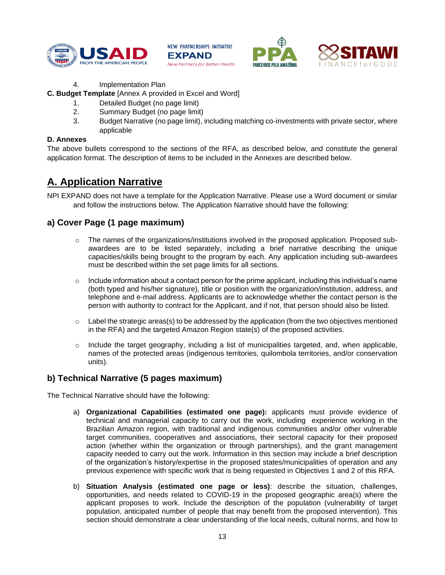







- 4. Implementation Plan
- **C. Budget Template** [Annex A provided in Excel and Word]
	- 1. Detailed Budget (no page limit)
	- 2. Summary Budget (no page limit)
	- 3. Budget Narrative (no page limit), including matching co-investments with private sector, where applicable

### **D. Annexes**

The above bullets correspond to the sections of the RFA, as described below, and constitute the general application format. The description of items to be included in the Annexes are described below.

## <span id="page-12-0"></span>**A. Application Narrative**

NPI EXPAND does not have a template for the Application Narrative. Please use a Word document or similar and follow the instructions below. The Application Narrative should have the following:

## **a) Cover Page (1 page maximum)**

- o The names of the organizations/institutions involved in the proposed application. Proposed subawardees are to be listed separately, including a brief narrative describing the unique capacities/skills being brought to the program by each. Any application including sub-awardees must be described within the set page limits for all sections.
- $\circ$  Include information about a contact person for the prime applicant, including this individual's name (both typed and his/her signature), title or position with the organization/institution, address, and telephone and e-mail address. Applicants are to acknowledge whether the contact person is the person with authority to contract for the Applicant, and if not, that person should also be listed.
- $\circ$  Label the strategic areas(s) to be addressed by the application (from the two objectives mentioned in the RFA) and the targeted Amazon Region state(s) of the proposed activities.
- o Include the target geography, including a list of municipalities targeted, and, when applicable, names of the protected areas (indigenous territories, quilombola territories, and/or conservation units).

## **b) Technical Narrative (5 pages maximum)**

The Technical Narrative should have the following:

- a) **Organizational Capabilities (estimated one page):** applicants must provide evidence of technical and managerial capacity to carry out the work, including experience working in the Brazilian Amazon region, with traditional and indigenous communities and/or other vulnerable target communities, cooperatives and associations, their sectoral capacity for their proposed action (whether within the organization or through partnerships), and the grant management capacity needed to carry out the work. Information in this section may include a brief description of the organization's history/expertise in the proposed states/municipalities of operation and any previous experience with specific work that is being requested in Objectives 1 and 2 of this RFA.
- b) **Situation Analysis (estimated one page or less)**: describe the situation, challenges, opportunities, and needs related to COVID-19 in the proposed geographic area(s) where the applicant proposes to work. Include the description of the population (vulnerability of target population, anticipated number of people that may benefit from the proposed intervention). This section should demonstrate a clear understanding of the local needs, cultural norms, and how to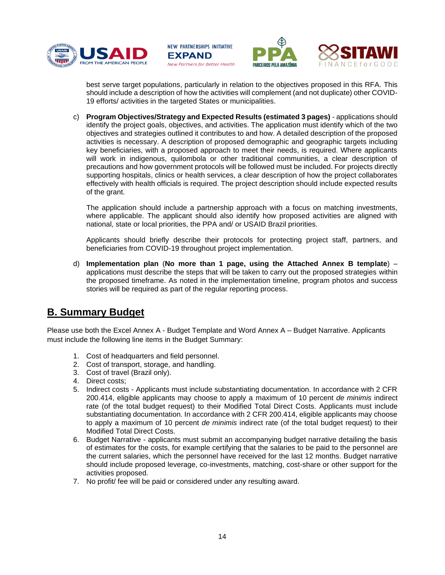







best serve target populations, particularly in relation to the objectives proposed in this RFA. This should include a description of how the activities will complement (and not duplicate) other COVID-19 efforts/ activities in the targeted States or municipalities.

c) **Program Objectives/Strategy and Expected Results (estimated 3 pages)** - applications should identify the project goals, objectives, and activities. The application must identify which of the two objectives and strategies outlined it contributes to and how. A detailed description of the proposed activities is necessary. A description of proposed demographic and geographic targets including key beneficiaries, with a proposed approach to meet their needs, is required. Where applicants will work in indigenous, quilombola or other traditional communities, a clear description of precautions and how government protocols will be followed must be included. For projects directly supporting hospitals, clinics or health services, a clear description of how the project collaborates effectively with health officials is required. The project description should include expected results of the grant.

The application should include a partnership approach with a focus on matching investments, where applicable. The applicant should also identify how proposed activities are aligned with national, state or local priorities, the PPA and/ or USAID Brazil priorities.

Applicants should briefly describe their protocols for protecting project staff, partners, and beneficiaries from COVID-19 throughout project implementation.

d) **Implementation plan** (**No more than 1 page, using the Attached Annex B template**) – applications must describe the steps that will be taken to carry out the proposed strategies within the proposed timeframe. As noted in the implementation timeline, program photos and success stories will be required as part of the regular reporting process.

## <span id="page-13-0"></span>**B. Summary Budget**

Please use both the Excel Annex A - Budget Template and Word Annex A – Budget Narrative. Applicants must include the following line items in the Budget Summary:

- 1. Cost of headquarters and field personnel.
- 2. Cost of transport, storage, and handling.
- 3. Cost of travel (Brazil only).
- 4. Direct costs;
- 5. Indirect costs Applicants must include substantiating documentation. In accordance with 2 CFR 200.414, eligible applicants may choose to apply a maximum of 10 percent *de minimis* indirect rate (of the total budget request) to their Modified Total Direct Costs. Applicants must include substantiating documentation. In accordance with 2 CFR 200.414, eligible applicants may choose to apply a maximum of 10 percent *de minimis* indirect rate (of the total budget request) to their Modified Total Direct Costs.
- 6. Budget Narrative applicants must submit an accompanying budget narrative detailing the basis of estimates for the costs, for example certifying that the salaries to be paid to the personnel are the current salaries, which the personnel have received for the last 12 months. Budget narrative should include proposed leverage, co-investments, matching, cost-share or other support for the activities proposed.
- 7. No profit/ fee will be paid or considered under any resulting award.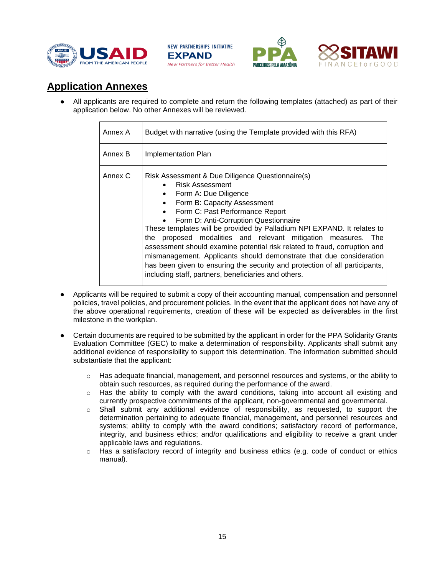







## <span id="page-14-0"></span>**Application Annexes**

All applicants are required to complete and return the following templates (attached) as part of their application below. No other Annexes will be reviewed.

| Annex A | Budget with narrative (using the Template provided with this RFA)                                                                                                                                                                                                                                                                                                                                                                                                                                                                                                                                                                                      |
|---------|--------------------------------------------------------------------------------------------------------------------------------------------------------------------------------------------------------------------------------------------------------------------------------------------------------------------------------------------------------------------------------------------------------------------------------------------------------------------------------------------------------------------------------------------------------------------------------------------------------------------------------------------------------|
| Annex B | Implementation Plan                                                                                                                                                                                                                                                                                                                                                                                                                                                                                                                                                                                                                                    |
| Annex C | Risk Assessment & Due Diligence Questionnaire(s)<br>Risk Assessment<br>Form A: Due Diligence<br>Form B: Capacity Assessment<br>Form C: Past Performance Report<br>Form D: Anti-Corruption Questionnaire<br>These templates will be provided by Palladium NPI EXPAND. It relates to<br>proposed modalities and relevant mitigation measures.<br>the<br>- The<br>assessment should examine potential risk related to fraud, corruption and<br>mismanagement. Applicants should demonstrate that due consideration<br>has been given to ensuring the security and protection of all participants,<br>including staff, partners, beneficiaries and others. |

- Applicants will be required to submit a copy of their accounting manual, compensation and personnel policies, travel policies, and procurement policies. In the event that the applicant does not have any of the above operational requirements, creation of these will be expected as deliverables in the first milestone in the workplan.
- Certain documents are required to be submitted by the applicant in order for the PPA Solidarity Grants Evaluation Committee (GEC) to make a determination of responsibility. Applicants shall submit any additional evidence of responsibility to support this determination. The information submitted should substantiate that the applicant:
	- $\circ$  Has adequate financial, management, and personnel resources and systems, or the ability to obtain such resources, as required during the performance of the award.
	- $\circ$  Has the ability to comply with the award conditions, taking into account all existing and currently prospective commitments of the applicant, non-governmental and governmental.
	- o Shall submit any additional evidence of responsibility, as requested, to support the determination pertaining to adequate financial, management, and personnel resources and systems; ability to comply with the award conditions; satisfactory record of performance, integrity, and business ethics; and/or qualifications and eligibility to receive a grant under applicable laws and regulations.
	- o Has a satisfactory record of integrity and business ethics (e.g. code of conduct or ethics manual).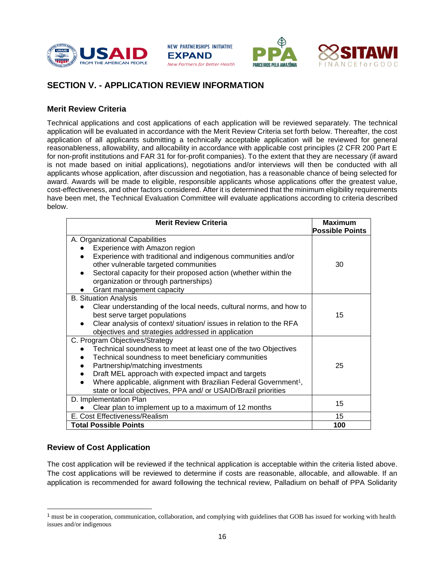







## <span id="page-15-0"></span>**SECTION V. - APPLICATION REVIEW INFORMATION**

## <span id="page-15-1"></span>**Merit Review Criteria**

Technical applications and cost applications of each application will be reviewed separately. The technical application will be evaluated in accordance with the Merit Review Criteria set forth below. Thereafter, the cost application of all applicants submitting a technically acceptable application will be reviewed for general reasonableness, allowability, and allocability in accordance with applicable cost principles (2 CFR 200 Part E for non-profit institutions and FAR 31 for for-profit companies). To the extent that they are necessary (if award is not made based on initial applications), negotiations and/or interviews will then be conducted with all applicants whose application, after discussion and negotiation, has a reasonable chance of being selected for award. Awards will be made to eligible, responsible applicants whose applications offer the greatest value, cost-effectiveness, and other factors considered. After it is determined that the minimum eligibility requirements have been met, the Technical Evaluation Committee will evaluate applications according to criteria described below.

| <b>Merit Review Criteria</b>                                                     | <b>Maximum</b><br><b>Possible Points</b> |
|----------------------------------------------------------------------------------|------------------------------------------|
| A. Organizational Capabilities                                                   |                                          |
| Experience with Amazon region                                                    |                                          |
| Experience with traditional and indigenous communities and/or                    |                                          |
| other vulnerable targeted communities                                            | 30                                       |
| Sectoral capacity for their proposed action (whether within the<br>$\bullet$     |                                          |
| organization or through partnerships)                                            |                                          |
| Grant management capacity                                                        |                                          |
| <b>B. Situation Analysis</b>                                                     |                                          |
| Clear understanding of the local needs, cultural norms, and how to               |                                          |
| best serve target populations                                                    | 15                                       |
| Clear analysis of context/ situation/ issues in relation to the RFA<br>$\bullet$ |                                          |
| objectives and strategies addressed in application                               |                                          |
| C. Program Objectives/Strategy                                                   |                                          |
| Technical soundness to meet at least one of the two Objectives                   |                                          |
| Technical soundness to meet beneficiary communities<br>$\bullet$                 |                                          |
| Partnership/matching investments<br>$\bullet$                                    | 25                                       |
| Draft MEL approach with expected impact and targets<br>$\bullet$                 |                                          |
| Where applicable, alignment with Brazilian Federal Government <sup>1</sup> ,     |                                          |
| state or local objectives, PPA and/ or USAID/Brazil priorities                   |                                          |
| D. Implementation Plan                                                           | 15                                       |
| Clear plan to implement up to a maximum of 12 months                             |                                          |
| E. Cost Effectiveness/Realism                                                    | 15                                       |
| <b>Total Possible Points</b>                                                     | 100                                      |

## <span id="page-15-2"></span>**Review of Cost Application**

The cost application will be reviewed if the technical application is acceptable within the criteria listed above. The cost applications will be reviewed to determine if costs are reasonable, allocable, and allowable. If an application is recommended for award following the technical review, Palladium on behalf of PPA Solidarity

<sup>&</sup>lt;sup>1</sup> must be in cooperation, communication, collaboration, and complying with guidelines that GOB has issued for working with health issues and/or indigenous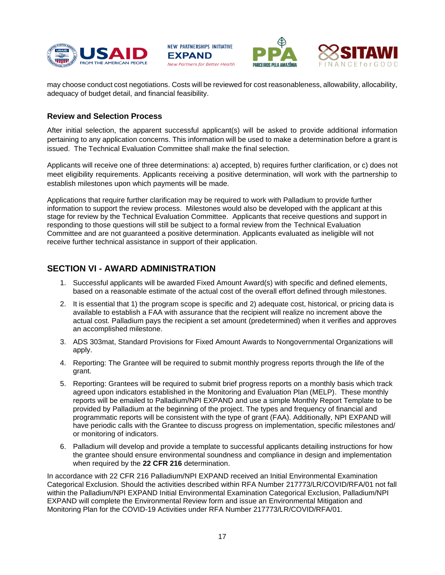







may choose conduct cost negotiations. Costs will be reviewed for cost reasonableness, allowability, allocability, adequacy of budget detail, and financial feasibility.

## <span id="page-16-0"></span>**Review and Selection Process**

After initial selection, the apparent successful applicant(s) will be asked to provide additional information pertaining to any application concerns. This information will be used to make a determination before a grant is issued. The Technical Evaluation Committee shall make the final selection.

Applicants will receive one of three determinations: a) accepted, b) requires further clarification, or c) does not meet eligibility requirements. Applicants receiving a positive determination, will work with the partnership to establish milestones upon which payments will be made.

Applications that require further clarification may be required to work with Palladium to provide further information to support the review process. Milestones would also be developed with the applicant at this stage for review by the Technical Evaluation Committee. Applicants that receive questions and support in responding to those questions will still be subject to a formal review from the Technical Evaluation Committee and are not guaranteed a positive determination. Applicants evaluated as ineligible will not receive further technical assistance in support of their application.

## <span id="page-16-1"></span>**SECTION VI - AWARD ADMINISTRATION**

- 1. Successful applicants will be awarded Fixed Amount Award(s) with specific and defined elements, based on a reasonable estimate of the actual cost of the overall effort defined through milestones.
- 2. It is essential that 1) the program scope is specific and 2) adequate cost, historical, or pricing data is available to establish a FAA with assurance that the recipient will realize no increment above the actual cost. Palladium pays the recipient a set amount (predetermined) when it verifies and approves an accomplished milestone.
- 3. ADS 303mat, Standard Provisions for Fixed Amount Awards to Nongovernmental Organizations will apply.
- 4. Reporting: The Grantee will be required to submit monthly progress reports through the life of the grant.
- 5. Reporting: Grantees will be required to submit brief progress reports on a monthly basis which track agreed upon indicators established in the Monitoring and Evaluation Plan (MELP). These monthly reports will be emailed to Palladium/NPI EXPAND and use a simple Monthly Report Template to be provided by Palladium at the beginning of the project. The types and frequency of financial and programmatic reports will be consistent with the type of grant (FAA). Additionally, NPI EXPAND will have periodic calls with the Grantee to discuss progress on implementation, specific milestones and/ or monitoring of indicators.
- 6. Palladium will develop and provide a template to successful applicants detailing instructions for how the grantee should ensure environmental soundness and compliance in design and implementation when required by the **22 CFR 216** determination.

In accordance with 22 CFR 216 Palladium/NPI EXPAND received an Initial Environmental Examination Categorical Exclusion. Should the activities described within RFA Number 217773/LR/COVID/RFA/01 not fall within the Palladium/NPI EXPAND Initial Environmental Examination Categorical Exclusion, Palladium/NPI EXPAND will complete the Environmental Review form and issue an Environmental Mitigation and Monitoring Plan for the COVID-19 Activities under RFA Number 217773/LR/COVID/RFA/01.